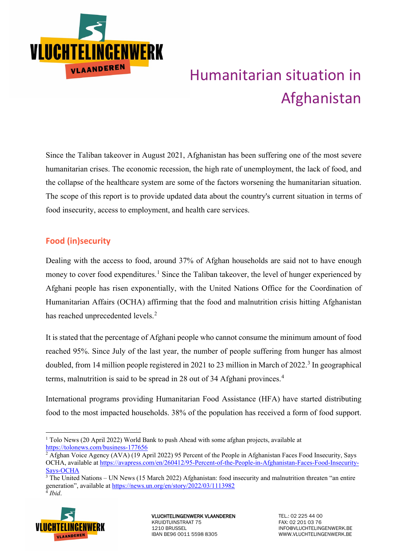

# Humanitarian situation in Afghanistan

Since the Taliban takeover in August 2021, Afghanistan has been suffering one of the most severe humanitarian crises. The economic recession, the high rate of unemployment, the lack of food, and the collapse of the healthcare system are some of the factors worsening the humanitarian situation. The scope of this report is to provide updated data about the country's current situation in terms of food insecurity, access to employment, and health care services.

## **Food (in)security**

Dealing with the access to food, around 37% of Afghan households are said not to have enough money to cover food expenditures.<sup>[1](#page-0-0)</sup> Since the Taliban takeover, the level of hunger experienced by Afghani people has risen exponentially, with the United Nations Office for the Coordination of Humanitarian Affairs (OCHA) affirming that the food and malnutrition crisis hitting Afghanistan has reached unprecedented levels.<sup>[2](#page-0-1)</sup>

It is stated that the percentage of Afghani people who cannot consume the minimum amount of food reached 95%. Since July of the last year, the number of people suffering from hunger has almost doubled, from 14 million people registered in 2021 to 2[3](#page-0-2) million in March of 2022.<sup>3</sup> In geographical terms, malnutrition is said to be spread in 28 out of 3[4](#page-0-3) Afghani provinces.<sup>4</sup>

International programs providing Humanitarian Food Assistance (HFA) have started distributing food to the most impacted households. 38% of the population has received a form of food support.

<span id="page-0-3"></span><span id="page-0-2"></span><span id="page-0-1"></span> $3$  The United Nations – UN News (15 March 2022) Afghanistan: food insecurity and malnutrition threaten "an entire generation", available at<https://news.un.org/en/story/2022/03/1113982> <sup>4</sup> *Ibid*.



<span id="page-0-0"></span><sup>&</sup>lt;sup>1</sup> Tolo News (20 April 2022) World Bank to push Ahead with some afghan projects, available at <https://tolonews.com/business-177656>

<sup>&</sup>lt;sup>2</sup> Afghan Voice Agency (AVA) (19 April 2022) 95 Percent of the People in Afghanistan Faces Food Insecurity, Says OCHA, available a[t https://avapress.com/en/260412/95-Percent-of-the-People-in-Afghanistan-Faces-Food-Insecurity-](https://avapress.com/en/260412/95-Percent-of-the-People-in-Afghanistan-Faces-Food-Insecurity-Says-OCHA)[Says-OCHA](https://avapress.com/en/260412/95-Percent-of-the-People-in-Afghanistan-Faces-Food-Insecurity-Says-OCHA)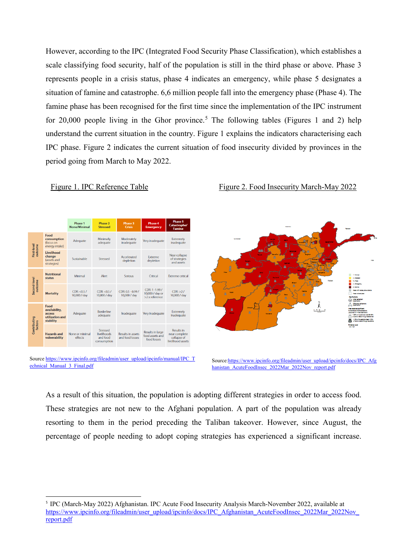However, according to the IPC (Integrated Food Security Phase Classification), which establishes a scale classifying food security, half of the population is still in the third phase or above. Phase 3 represents people in a crisis status, phase 4 indicates an emergency, while phase 5 designates a situation of famine and catastrophe. 6,6 million people fall into the emergency phase (Phase 4). The famine phase has been recognised for the first time since the implementation of the IPC instrument for 20,000 people living in the Ghor province.<sup>[5](#page-1-0)</sup> The following tables (Figures 1 and 2) help understand the current situation in the country. Figure 1 explains the indicators characterising each IPC phase. Figure 2 indicates the current situation of food insecurity divided by provinces in the period going from March to May 2022.

### Phase 1<br>ine/Mini **Phase 2**<br>Stressec **Phase 3** Food consumption Minimally Moderately<br>inadequate Adequate Very inadequate Extremely<br>inadequate (focus on<br>energy intake) adequate First-level<br>outcome Livelihood Near collapse<br>of strategies<br>and assets change<br>change<br>(assets and Extreme<br>depletion Accelerated<br>depletion Sustainable strategies) **Nutritional**<br>status Minima Alert Serious Critical **Extreme critical** iecond-level<br>outrome CDR: 1 -1.99 /<br>10,000 / day or  $CDR: <0.5$  $CDR: < 0.5$ /  $CDR: 0.5 - 0.99$  $CDR: >2/$ **Mortality** 10,000 / day 10,000 / day 10,000 / day 10,000 / day  $>2x$  reference Food rood<br>availability, **Borderline** Extremely<br>inadequate access<br>utilization and<br>stability Adequate Inadequate Very inadequate adequate Contributing<br>factors Results in large<br>food assets and<br>food losses **Results in Hazards and** Results in asset:<br>and food losse: None or minimal<br>effects livelihoods<br>and food near complete<br>collapse of consumption

Source [https://www.ipcinfo.org/fileadmin/user\\_upload/ipcinfo/manual/IPC\\_T](https://www.ipcinfo.org/fileadmin/user_upload/ipcinfo/manual/IPC_Technical_Manual_3_Final.pdf) [echnical\\_Manual\\_3\\_Final.pdf](https://www.ipcinfo.org/fileadmin/user_upload/ipcinfo/manual/IPC_Technical_Manual_3_Final.pdf)

Figure 1. IPC Reference Table Figure 2. Food Insecurity March-May 2022



Source[:https://www.ipcinfo.org/fileadmin/user\\_upload/ipcinfo/docs/IPC\\_Afg](https://www.ipcinfo.org/fileadmin/user_upload/ipcinfo/docs/IPC_Afghanistan_AcuteFoodInsec_2022Mar_2022Nov_report.pdf) [hanistan\\_AcuteFoodInsec\\_2022Mar\\_2022Nov\\_report.pdf](https://www.ipcinfo.org/fileadmin/user_upload/ipcinfo/docs/IPC_Afghanistan_AcuteFoodInsec_2022Mar_2022Nov_report.pdf)

As a result of this situation, the population is adopting different strategies in order to access food. These strategies are not new to the Afghani population. A part of the population was already resorting to them in the period preceding the Taliban takeover. However, since August, the percentage of people needing to adopt coping strategies has experienced a significant increase.

<span id="page-1-0"></span><sup>5</sup> IPC (March-May 2022) Afghanistan. IPC Acute Food Insecurity Analysis March-November 2022, available at [https://www.ipcinfo.org/fileadmin/user\\_upload/ipcinfo/docs/IPC\\_Afghanistan\\_AcuteFoodInsec\\_2022Mar\\_2022Nov\\_](https://www.ipcinfo.org/fileadmin/user_upload/ipcinfo/docs/IPC_Afghanistan_AcuteFoodInsec_2022Mar_2022Nov_report.pdf) [report.pdf](https://www.ipcinfo.org/fileadmin/user_upload/ipcinfo/docs/IPC_Afghanistan_AcuteFoodInsec_2022Mar_2022Nov_report.pdf)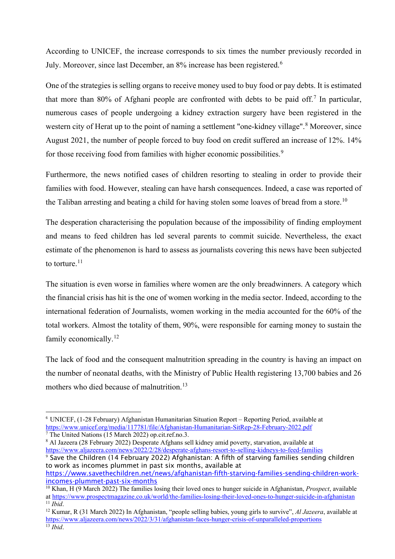According to UNICEF, the increase corresponds to six times the number previously recorded in July. Moreover, since last December, an 8% increase has been registered.<sup>[6](#page-2-0)</sup>

One of the strategies is selling organs to receive money used to buy food or pay debts. It is estimated that more than 80% of Afghani people are confronted with debts to be paid off.<sup>[7](#page-2-1)</sup> In particular, numerous cases of people undergoing a kidney extraction surgery have been registered in the western city of Herat up to the point of naming a settlement "one-kidney village".<sup>[8](#page-2-2)</sup> Moreover, since August 2021, the number of people forced to buy food on credit suffered an increase of 12%. 14% for those receiving food from families with higher economic possibilities.<sup>[9](#page-2-3)</sup>

Furthermore, the news notified cases of children resorting to stealing in order to provide their families with food. However, stealing can have harsh consequences. Indeed, a case was reported of the Taliban arresting and beating a child for having stolen some loaves of bread from a store.<sup>[10](#page-2-4)</sup>

The desperation characterising the population because of the impossibility of finding employment and means to feed children has led several parents to commit suicide. Nevertheless, the exact estimate of the phenomenon is hard to assess as journalists covering this news have been subjected to torture. $11$ 

The situation is even worse in families where women are the only breadwinners. A category which the financial crisis has hit is the one of women working in the media sector. Indeed, according to the international federation of Journalists, women working in the media accounted for the 60% of the total workers. Almost the totality of them, 90%, were responsible for earning money to sustain the family economically.<sup>[12](#page-2-6)</sup>

The lack of food and the consequent malnutrition spreading in the country is having an impact on the number of neonatal deaths, with the Ministry of Public Health registering 13,700 babies and 26 mothers who died because of malnutrition.<sup>[13](#page-2-7)</sup>

<span id="page-2-3"></span>to work as incomes plummet in past six months, available at [https://www.savethechildren.net/news/afghanistan-fifth-starving-families-sending-children-work](https://www.savethechildren.net/news/afghanistan-fifth-starving-families-sending-children-work-incomes-plummet-past-six-months)[incomes-plummet-past-six-months](https://www.savethechildren.net/news/afghanistan-fifth-starving-families-sending-children-work-incomes-plummet-past-six-months)

<span id="page-2-0"></span><sup>6</sup> UNICEF, (1-28 February) Afghanistan Humanitarian Situation Report – Reporting Period, available at <https://www.unicef.org/media/117781/file/Afghanistan-Humanitarian-SitRep-28-February-2022.pdf>

<span id="page-2-1"></span> $\frac{7}{7}$  The United Nations (15 March 2022) op.cit.ref.no.3.

<span id="page-2-2"></span><sup>8</sup> Al Jazeera (28 February 2022) Desperate Afghans sell kidney amid poverty, starvation, available at <https://www.aljazeera.com/news/2022/2/28/desperate-afghans-resort-to-selling-kidneys-to-feed-families> <sup>9</sup> Save the Children (14 February 2022) Afghanistan: A fifth of starving families sending children

<span id="page-2-4"></span><sup>10</sup> Khan, H (9 March 2022) The families losing their loved ones to hunger suicide in Afghanistan, *Prospect*, available a[t https://www.prospectmagazine.co.uk/world/the-families-losing-their-loved-ones-to-hunger-suicide-in-afghanistan](https://www.prospectmagazine.co.uk/world/the-families-losing-their-loved-ones-to-hunger-suicide-in-afghanistan)  $11$  *Ibid.* 

<span id="page-2-7"></span><span id="page-2-6"></span><span id="page-2-5"></span><sup>12</sup> Kumar, R (31 March 2022) In Afghanistan, "people selling babies, young girls to survive", *Al Jazeera*, available at <https://www.aljazeera.com/news/2022/3/31/afghanistan-faces-hunger-crisis-of-unparalleled-proportions> <sup>13</sup> *Ibid*.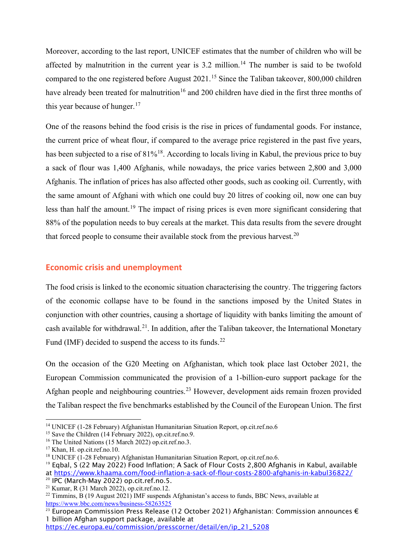Moreover, according to the last report, UNICEF estimates that the number of children who will be affected by malnutrition in the current year is 3.2 million.<sup>[14](#page-3-0)</sup> The number is said to be twofold compared to the one registered before August  $2021$ .<sup>[15](#page-3-1)</sup> Since the Taliban takeover, 800,000 children have already been treated for malnutrition<sup>[16](#page-3-2)</sup> and 200 children have died in the first three months of this year because of hunger. $17$ 

One of the reasons behind the food crisis is the rise in prices of fundamental goods. For instance, the current price of wheat flour, if compared to the average price registered in the past five years, has been subjected to a rise of  $81\%$ <sup>18</sup>. According to locals living in Kabul, the previous price to buy a sack of flour was 1,400 Afghanis, while nowadays, the price varies between 2,800 and 3,000 Afghanis. The inflation of prices has also affected other goods, such as cooking oil. Currently, with the same amount of Afghani with which one could buy 20 litres of cooking oil, now one can buy less than half the amount.[19](#page-3-5) The impact of rising prices is even more significant considering that 88% of the population needs to buy cereals at the market. This data results from the severe drought that forced people to consume their available stock from the previous harvest.<sup>[20](#page-3-6)</sup>

### **Economic crisis and unemployment**

The food crisis is linked to the economic situation characterising the country. The triggering factors of the economic collapse have to be found in the sanctions imposed by the United States in conjunction with other countries, causing a shortage of liquidity with banks limiting the amount of cash available for withdrawal.<sup>[21](#page-3-7)</sup>. In addition, after the Taliban takeover, the International Monetary Fund (IMF) decided to suspend the access to its funds.<sup>[22](#page-3-8)</sup>

On the occasion of the G20 Meeting on Afghanistan, which took place last October 2021, the European Commission communicated the provision of a 1-billion-euro support package for the Afghan people and neighbouring countries.<sup>[23](#page-3-9)</sup> However, development aids remain frozen provided the Taliban respect the five benchmarks established by the Council of the European Union. The first

[https://ec.europa.eu/commission/presscorner/detail/en/ip\\_21\\_5208](https://ec.europa.eu/commission/presscorner/detail/en/ip_21_5208)

<span id="page-3-0"></span><sup>&</sup>lt;sup>14</sup> UNICEF (1-28 February) Afghanistan Humanitarian Situation Report, op.cit.ref.no.6 <sup>15</sup> Save the Children (14 February 2022), op.cit.ref.no.9.

<span id="page-3-1"></span>

<span id="page-3-2"></span><sup>&</sup>lt;sup>16</sup> The United Nations (15 March 2022) op.cit.ref.no.3.

<span id="page-3-3"></span><sup>&</sup>lt;sup>17</sup> Khan, H. op.cit.ref.no.10.

<span id="page-3-4"></span><sup>&</sup>lt;sup>18</sup> UNICEF (1-28 February) Afghanistan Humanitarian Situation Report, op.cit.ref.no.6.

<span id="page-3-5"></span><sup>&</sup>lt;sup>19</sup> Egbal, S (22 May 2022) Food Inflation; A Sack of Flour Costs 2,800 Afghanis in Kabul, available at https://www.khaama.com/food-inflation-a-sack-of-flour-costs-2800-afghanis-in-kabul36822/<br><sup>20</sup> IPC (March-May 2022) op.cit.ref.no.5.

<span id="page-3-7"></span><span id="page-3-6"></span><sup>21</sup> Kumar, R (31 March 2022), op.cit.ref.no.12.

<span id="page-3-8"></span> $22$  Timmins, B (19 August 2021) IMF suspends Afghanistan's access to funds, BBC News, available at <https://www.bbc.com/news/business-58263525>

<span id="page-3-9"></span><sup>&</sup>lt;sup>23</sup> European Commission Press Release (12 October 2021) Afghanistan: Commission announces  $\epsilon$ 1 billion Afghan support package, available at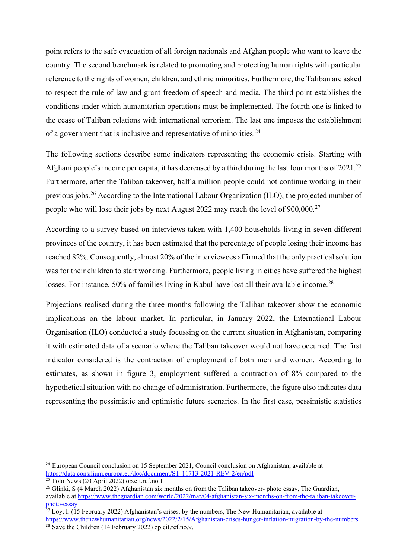point refers to the safe evacuation of all foreign nationals and Afghan people who want to leave the country. The second benchmark is related to promoting and protecting human rights with particular reference to the rights of women, children, and ethnic minorities. Furthermore, the Taliban are asked to respect the rule of law and grant freedom of speech and media. The third point establishes the conditions under which humanitarian operations must be implemented. The fourth one is linked to the cease of Taliban relations with international terrorism. The last one imposes the establishment of a government that is inclusive and representative of minorities.<sup>24</sup>

The following sections describe some indicators representing the economic crisis. Starting with Afghani people's income per capita, it has decreased by a third during the last four months of 2021.<sup>[25](#page-4-1)</sup> Furthermore, after the Taliban takeover, half a million people could not continue working in their previous jobs.<sup>[26](#page-4-2)</sup> According to the International Labour Organization (ILO), the projected number of people who will lose their jobs by next August 2022 may reach the level of 900,000.<sup>[27](#page-4-3)</sup>

According to a survey based on interviews taken with 1,400 households living in seven different provinces of the country, it has been estimated that the percentage of people losing their income has reached 82%. Consequently, almost 20% of the interviewees affirmed that the only practical solution was for their children to start working. Furthermore, people living in cities have suffered the highest losses. For instance, 50% of families living in Kabul have lost all their available income.<sup>[28](#page-4-4)</sup>

Projections realised during the three months following the Taliban takeover show the economic implications on the labour market. In particular, in January 2022, the International Labour Organisation (ILO) conducted a study focussing on the current situation in Afghanistan, comparing it with estimated data of a scenario where the Taliban takeover would not have occurred. The first indicator considered is the contraction of employment of both men and women. According to estimates, as shown in figure 3, employment suffered a contraction of 8% compared to the hypothetical situation with no change of administration. Furthermore, the figure also indicates data representing the pessimistic and optimistic future scenarios. In the first case, pessimistic statistics

<span id="page-4-0"></span><sup>&</sup>lt;sup>24</sup> European Council conclusion on 15 September 2021, Council conclusion on Afghanistan, available at <https://data.consilium.europa.eu/doc/document/ST-11713-2021-REV-2/en/pdf><sup>25</sup> Tolo News (20 April 2022) op.cit.ref.no.1

<span id="page-4-1"></span>

<span id="page-4-2"></span><sup>&</sup>lt;sup>26</sup> Glinki, S (4 March 2022) Afghanistan six months on from the Taliban takeover- photo essay, The Guardian, available at [https://www.theguardian.com/world/2022/mar/04/afghanistan-six-months-on-from-the-taliban-takeover](https://www.theguardian.com/world/2022/mar/04/afghanistan-six-months-on-from-the-taliban-takeover-photo-essay)[photo-essay](https://www.theguardian.com/world/2022/mar/04/afghanistan-six-months-on-from-the-taliban-takeover-photo-essay)

<span id="page-4-4"></span><span id="page-4-3"></span> $27$  Loy, I. (15 February 2022) Afghanistan's crises, by the numbers, The New Humanitarian, available at <https://www.thenewhumanitarian.org/news/2022/2/15/Afghanistan-crises-hunger-inflation-migration-by-the-numbers>  $\frac{28}{28}$  Save the Children (14 February 2022) op.cit.ref.no.9.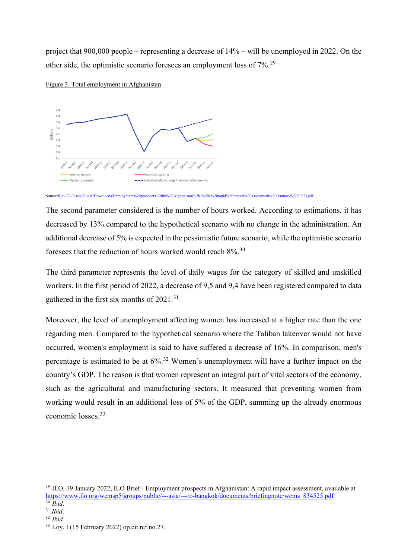project that 900,000 people – representing a decrease of 14% – will be unemployed in 2022. On the other side, the optimistic scenario foresees an employment loss of 7%.[29](#page-5-0)





The second parameter considered is the number of hours worked. According to estimations, it has decreased by 13% compared to the hypothetical scenario with no change in the administration. An additional decrease of 5% is expected in the pessimistic future scenario, while the optimistic scenario foresees that the reduction of hours worked would reach  $8\%$ .<sup>[30](#page-5-1)</sup>

The third parameter represents the level of daily wages for the category of skilled and unskilled workers. In the first period of 2022, a decrease of 9,5 and 9,4 have been registered compared to data gathered in the first six months of 2021.<sup>[31](#page-5-2)</sup>

Moreover, the level of unemployment affecting women has increased at a higher rate than the one regarding men. Compared to the hypothetical scenario where the Taliban takeover would not have occurred, women's employment is said to have suffered a decrease of 16%. In comparison, men's percentage is estimated to be at 6%.<sup>[32](#page-5-3)</sup> Women's unemployment will have a further impact on the country's GDP. The reason is that women represent an integral part of vital sectors of the economy, such as the agricultural and manufacturing sectors. It measured that preventing women from working would result in an additional loss of 5% of the GDP, summing up the already enormous economic losses. [33](#page-5-4) 

Source:file:///C:/Users/Giulia/Downloads/Employment%20prospects%20in%20Afghanistan%20-%20a%20rapid%20impact%20assessment%20(January%202022).pdf

<span id="page-5-0"></span><sup>&</sup>lt;sup>29</sup> ILO, 19 January 2022, ILO Brief - Employment prospects in Afghanistan: A rapid impact assessment, available at [https://www.ilo.org/wcmsp5/groups/public/---asia/---ro-bangkok/documents/briefingnote/wcms\\_834525.pdf](https://www.ilo.org/wcmsp5/groups/public/---asia/---ro-bangkok/documents/briefingnote/wcms_834525.pdf) <sup>30</sup> *Ibid*.

<span id="page-5-2"></span><span id="page-5-1"></span><sup>31</sup> *Ibid*.

<span id="page-5-3"></span><sup>32</sup> *Ibid.*

<span id="page-5-4"></span><sup>&</sup>lt;sup>33</sup> Loy, I (15 February 2022) op.cit.ref.no.27.